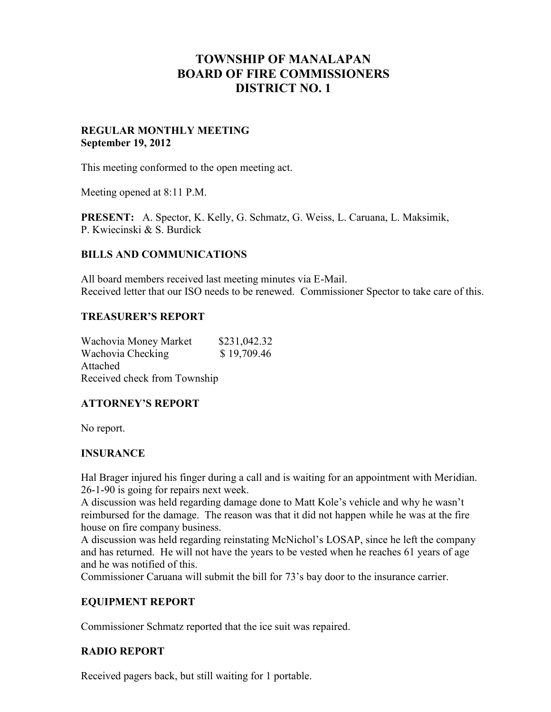# **TOWNSHIP OF MANALAPAN BOARD OF FIRE COMMISSIONERS DISTRICT NO. 1**

#### **REGULAR MONTHLY MEETING September 19, 2012**

This meeting conformed to the open meeting act.

Meeting opened at 8:11 P.M.

**PRESENT:** A. Spector, K. Kelly, G. Schmatz, G. Weiss, L. Caruana, L. Maksimik, P. Kwiecinski & S. Burdick

### **BILLS AND COMMUNICATIONS**

All board members received last meeting minutes via E-Mail. Received letter that our ISO needs to be renewed. Commissioner Spector to take care of this.

#### **TREASURER'S REPORT**

Wachovia Money Market \$231,042.32 Wachovia Checking  $$ 19,709.46$ Attached Received check from Township

# **ATTORNEY'S REPORT**

No report.

# **INSURANCE**

Hal Brager injured his finger during a call and is waiting for an appointment with Meridian. 26-1-90 is going for repairs next week.

A discussion was held regarding damage done to Matt Kole's vehicle and why he wasn't reimbursed for the damage. The reason was that it did not happen while he was at the fire house on fire company business.

A discussion was held regarding reinstating McNichol's LOSAP, since he left the company and has returned. He will not have the years to be vested when he reaches 61 years of age and he was notified of this.

Commissioner Caruana will submit the bill for 73's bay door to the insurance carrier.

# **EQUIPMENT REPORT**

Commissioner Schmatz reported that the ice suit was repaired.

# **RADIO REPORT**

Received pagers back, but still waiting for 1 portable.